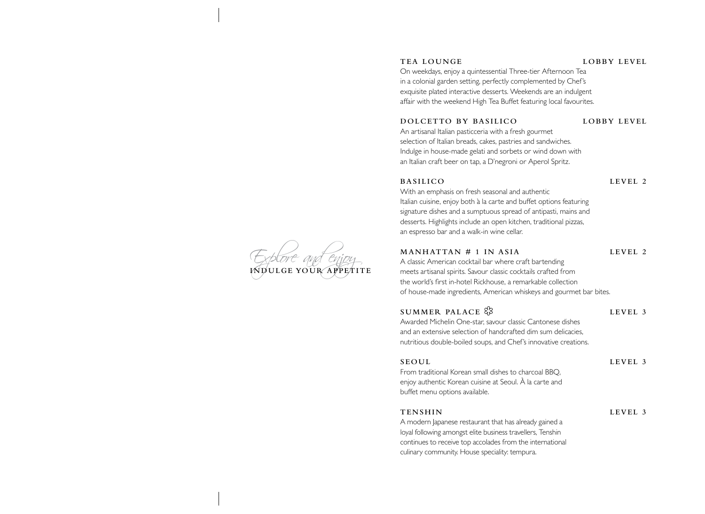### **TEA LOUNGE LOBBY LEVEL**

On weekdays, enjoy a quintessential Three-tier Afternoon Tea in a colonial garden setting, perfectly complemented by Chef's exquisite plated interactive desserts. Weekends are an indulgent affair with the weekend High Tea Buffet featuring local favourites.

### **DOLCETTO BY BASILICO LOBBY LEVEL**

An artisanal Italian pasticceria with a fresh gourmet selection of Italian breads, cakes, pastries and sandwiches. Indulge in house-made gelati and sorbets or wind down with an Italian craft beer on tap, a D'negroni or Aperol Spritz.

### **BASILICO LEVEL 2**

With an emphasis on fresh seasonal and authentic Italian cuisine, enjoy both à la carte and buffet options featuring signature dishes and a sumptuous spread of antipasti, mains and desserts. Highlights include an open kitchen, traditional pizzas, an espresso bar and a walk-in wine cellar.

### **MANHATTAN # 1 IN ASIA LEVEL 2**

A classic American cocktail bar where craft bartending meets artisanal spirits. Savour classic cocktails crafted from the world's first in-hotel Rickhouse, a remarkable collection of house-made ingredients, American whiskeys and gourmet bar bites.

### **SUMMER PALACE**  $\frac{8}{3}$  LEVEL 3

Awarded Michelin One-star, savour classic Cantonese dishes and an extensive selection of handcrafted dim sum delicacies, nutritious double-boiled soups, and Chef's innovative creations.

### **SEOUL LEVEL 3**

From traditional Korean small dishes to charcoal BBQ, enjoy authentic Korean cuisine at Seoul. À la carte and buffet menu options available.

**TENSHIN LEVEL 3**

A modern Japanese restaurant that has already gained a loyal following amongst elite business travellers, Tenshin continues to receive top accolades from the international culinary community. House speciality: tempura.

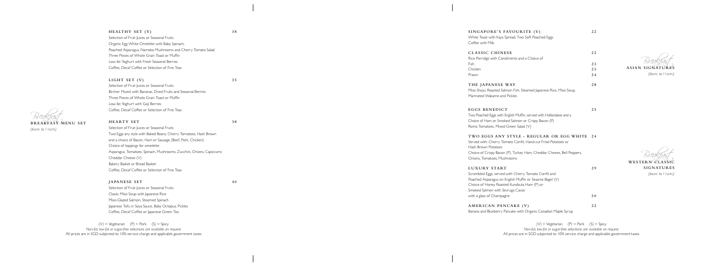Breakfast **BREAKFAST MENU SET** *(6a.m. to 11a.m.)*

ASIAN SIGNATURES *(6a.m. to 11a.m.)*

WESTERN CLASSIC **SIGNATURES**

**HEALTHY SET (V) 38** Selection of Fruit Juices or Seasonal Fruits Organic Egg White Omelette with Baby Spinach, Poached Asparagus, Nameko Mushrooms and Cherry Tomato Salad Three Pieces of Whole Grain Toast or Muffin Low-fat Yoghurt with Fresh Seasonal Berries Coffee, Decaf Coffee or Selection of Fine Teas

## **LIGHT SET (V) 35**

Selection of Fruit Juices or Seasonal Fruits Two Eggs any style with Baked Beans, Cherry Tomatoes, Hash Brown and a choice of Bacon, Ham or Sausage (Beef, Pork, Chicken) Choice of toppings for omelette: Asparagus, Tomatoes, Spinach, Mushrooms, Zucchini, Onions, Capsicums Cheddar Cheese (V) Bakery Basket or Bread Basket Coffee, Decaf Coffee or Selection of Fine Teas

Selection of Fruit Juices or Seasonal Fruits Bircher Muesli with Bananas, Dried Fruits and Seasonal Berries Three Pieces of Whole Grain Toast or Muffin Low-fat Yoghurt with Goji Berries Coffee, Decaf Coffee or Selection of Fine Teas

### **HEARTY SET 38**

 $(V)$  = Vegetarian  $(P)$  = Pork  $(S)$  = Spicy *Non-fat, low-fat or sugar-free selections are available on request* All prices are in SGD subjected to 10% service charge and applicable government taxes

 $(V)$  = Vegetarian  $(P)$  = Pork  $(S)$  = Spicy *Non-fat, low-fat or sugar-free selections are available on request* All prices are in SGD subjected to 10% service charge and applicable government taxes

### **JAPANESE SET 40**

Selection of Fruit Juices or Seasonal Fruits Classic Miso Soup with Japanese Rice Miso-Glazed Salmon, Steamed Spinach Japanese Tofu in Soya Sauce, Baby Octopus, Pickles Coffee, Decaf Coffee or Japanese Green Tea

| SINGAPORE'S FAVOURITE (V)<br>White Toast with Kaya Spread, Two Soft Poached Eggs<br>Coffee with Milk                                                                                                                                             | 22       |
|--------------------------------------------------------------------------------------------------------------------------------------------------------------------------------------------------------------------------------------------------|----------|
| <b>CLASSIC CHINESE</b><br>Rice Porridge with Condiments and a Choice of                                                                                                                                                                          | 22       |
| Fish                                                                                                                                                                                                                                             | 23       |
| Chicken                                                                                                                                                                                                                                          | 23       |
| Prawn                                                                                                                                                                                                                                            | 24       |
| THE JAPANESE WAY<br>Miso Shoyu Roasted Salmon Fish, Steamed Japanese Rice, Miso Soup,<br>Marinated Wakame and Pickles                                                                                                                            | 28       |
| EGGS BENEDICT<br>Two Poached Eggs with English Muffin, served with Hollandaise and a<br>Choice of Ham or Smoked Salmon or Crispy Bacon (P)<br>Roma Tomatoes, Mixed Green Salad (V)                                                               | 25       |
| TWO EGGS ANY STYLE - REGULAR OR EGG WHITE<br>Served with: Cherry Tomato Confit, Hand-cut Fried Potatoes or<br>Hash Brown Potatoes<br>Choice of Crispy Bacon (P), Turkey Ham, Cheddar Cheese, Bell Peppers,<br>Onions, Tomatoes, Mushrooms        | 24       |
| LUXURY START<br>Scrambled Eggs, served with Cherry Tomato Confit and<br>Poached Asparagus on English Muffin or Sesame Bagel (V)<br>Choice of Honey Roasted Kurobuta Ham (P) or<br>Smoked Salmon with Sevruga Caviar<br>with a glass of Champagne | 29<br>50 |
|                                                                                                                                                                                                                                                  |          |
| AMERICAN PANCAKE (V)<br>Banana and Blueberry Pancake with Organic Canadian Maple Syrup                                                                                                                                                           | 22       |

*<sup>(6</sup>a.m. to 11a.m.)*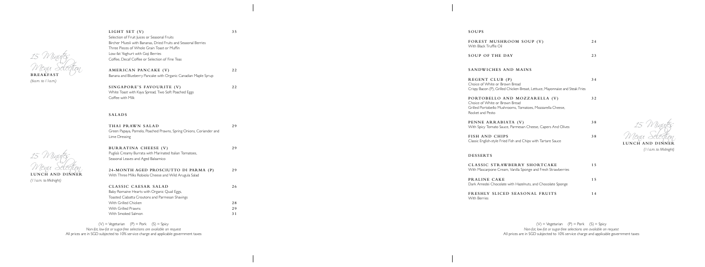15 Minutes Menu Selection

**BREAKFAST** *(6a.m. to 11a.m.)*

15 Minutes Menu Selection **LUNCH AND DINNER**

*(11a.m. to Midnight)*

15 Minutes Menu Selection **LUNCH AND DINNER**

*(11a.m. to Midnight)*

 $(V)$  = Vegetarian (P) = Pork (S) = Spicy *Non-fat, low-fat or sugar-free selections are available on request* All prices are in SGD subjected to 10% service charge and applicable government taxes

**LIGHT SET (V) 35**

Selection of Fruit Juices or Seasonal Fruits

Bircher Muesli with Bananas, Dried Fruits and Seasonal Berries

Three Pieces of Whole Grain Toast or Muffin

Low-fat Yoghurt with Goji Berries

Coffee, Decaf Coffee or Selection of Fine Teas

**AMERICAN PANCAKE (V) 22**

Banana and Blueberry Pancake with Organic Canadian Maple Syrup

**SINGAPORE'S FAVOURITE (V) 22**

 $(V)$  = Vegetarian  $(P)$  = Pork  $(S)$  = Spicy *Non-fat, low-fat or sugar-free selections are available on request* All prices are in SGD subjected to 10% service charge and applicable government taxes

White Toast with Kaya Spread, Two Soft Poached Eggs

Coffee with Milk

| THAI PRAWN SALAD                                                                    | 29  |
|-------------------------------------------------------------------------------------|-----|
| Green Papaya, Pomelo, Poached Prawns, Spring Onions, Coriander and<br>Lime Dressing |     |
| BURRATINA CHEESE (V)                                                                | 29  |
| Puglia's Creamy Burrata with Marinated Italian Tomatoes,                            |     |
| Seasonal Leaves and Aged Balsamico                                                  |     |
| 24-MONTH AGED PROSCIUTTO DI PARMA (P)                                               | 29  |
| With Three Milks Robiola Cheese and Wild Arugula Salad                              |     |
| CLASSIC CAESAR SALAD                                                                | 26  |
| Baby Romaine Hearts with Organic Quail Eggs,                                        |     |
| Toasted Ciabatta Croutons and Parmesan Shavings                                     |     |
| With Grilled Chicken                                                                | 28  |
| With Grilled Prawns                                                                 | 2.9 |
| With Smoked Salmon                                                                  | 31  |

## **SOUPS**

| FOREST MUSHROOM SOUP (V)<br>With Black Truffle Oil                                                                                                | 24  |
|---------------------------------------------------------------------------------------------------------------------------------------------------|-----|
| <b>SOUP OF THE DAY</b>                                                                                                                            | 23  |
| SANDWICHES AND MAINS                                                                                                                              |     |
| REGENT CLUB (P)<br>Choice of White or Brown Bread<br>Crispy Bacon (P), Grilled Chicken Breast, Lettuce, Mayonnaise and Steak Fries                | 34  |
| PORTOBELLO AND MOZZARELLA (V)<br>Choice of White or Brown Bread<br>Grilled Portobello Mushrooms, Tomatoes, Mozzarella Cheese,<br>Rocket and Pesto | 32  |
| PENNE ARRABIATA (V)<br>With Spicy Tomato Sauce, Parmesan Cheese, Capers And Olives                                                                | 38  |
| <b>FISH AND CHIPS</b><br>Classic English-style Fried Fish and Chips with Tartare Sauce                                                            | 38  |
| <b>DESSERTS</b>                                                                                                                                   |     |
| CLASSIC STRAWBERRY SHORTCAKE<br>With Mascarpone Cream, Vanilla Sponge and Fresh Strawberries                                                      | 1.5 |
| PRALINE CAKE<br>Dark Amedei Chocolate with Hazelnuts, and Chocolate Sponge                                                                        | 1.5 |
| FRESHLY SLICED SEASONAL FRUITS<br>With Berries                                                                                                    | 14  |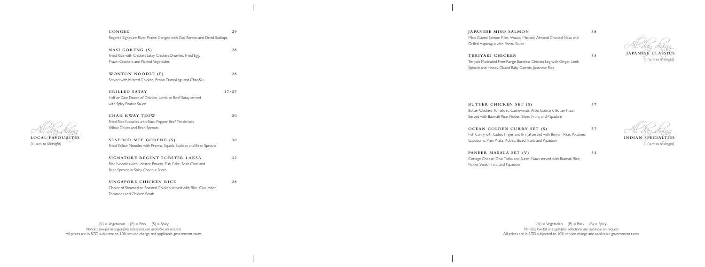

**CONGEE 29** Regent's Signature River Prawn Congee with Goji Berries and Dried Scallops

**NASI GORENG (S) 28** Fried Rice with Chicken Satay, Chicken Drumlet, Fried Egg, Prawn Crackers and Pickled Vegetables

**WONTON NOODLE (P) 28** Served with Minced Chicken, Prawn Dumplings and Char-Siu

**GRILLED SATAY 17/27** Half or One Dozen of Chicken, Lamb or Beef Satay served with Spicy Peanut Sauce

All-day dining **JAPANESE CLASSICS** *(11a.m. to Midnight)*

**CHAR KWAY TEOW 30** Fried Rice Noodles with Black Pepper Beef Tenderloin, Yellow Chives and Bean Sprouts

**SEAFOOD MEE GORENG (S) 30** Fried Yellow Noodles with Prawns, Squids, Scallops and Bean Sprouts

**SIGNATURE REGENT LOBSTER LAKSA 32** Rice Noodles with Lobster, Prawns, Fish Cake, Bean Curd and Bean Sprouts in Spicy Coconut Broth

**SINGAPORE CHICKEN RICE 28** Choice of Steamed or Roasted Chicken served with Rice, Cucumber, Tomatoes and Chicken Broth

 $(V)$  = Vegetarian  $(P)$  = Pork  $(S)$  = Spicy *Non-fat, low-fat or sugar-free selections are available on request* All prices are in SGD subjected to 10% service charge and applicable government taxes

*(11a.m. to Midnight)*

### **JAPANESE MISO SALMON 38**

 $(V)$  = Vegetarian  $(P)$  = Pork  $(S)$  = Spicy *Non-fat, low-fat or sugar-free selections are available on request* All prices are in SGD subjected to 10% service charge and applicable government taxes

Miso-Glazed Salmon Fillet, Wasabi Mashed, Almond Crusted Nasu and Grilled Asparagus with Ponzu Sauce

## **TERIYAKI CHICKEN 35**

Teriyaki Marinated Free-Range Boneless Chicken Leg with Ginger, Leek, Spinach and Honey-Glazed Baby Carrots, Japanese Rice

**BUTTER CHICKEN SET (S) 37** Butter Chicken, Tomatoes, Cashewnuts, Aloo Gobi and Butter Naan Served with Basmati Rice, Pickles, Sliced Fruits and Papadum **OCEAN GOLDEN CURRY SET (S) 37**

Fish Curry with Ladies Finger and Brinjal served with Biriyani Rice, Potatoes, Capsicums, Plain Prata, Pickles, Sliced Fruits and Papadum

**PANEER MASALA SET (V) 34**

Cottage Cheese, Dhal Tadka and Butter Naan served with Basmati Rice, Pickles Sliced Fruits and Papadum

All-day dining **INDIAN SPECIALTIES**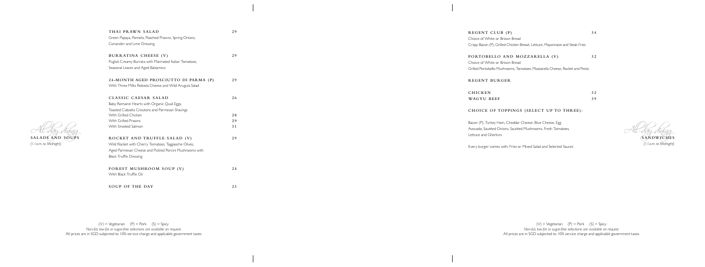All-day dining **SALADS AND SOUPS** *(11a.m. to Midnight)*

| THAI PRAWN SALAD                                         | 29 |
|----------------------------------------------------------|----|
| Green Papaya, Pomelo, Poached Prawns, Spring Onions,     |    |
| Coriander and Lime Dressing                              |    |
| BURRATINA CHEESE (V)                                     | 29 |
| Puglia's Creamy Burrata with Marinated Italian Tomatoes, |    |
| Seasonal Leaves and Aged Balsamico                       |    |
| 24-MONTH AGED PROSCIUTTO DI PARMA (P)                    | 29 |
| With Three Milks Robiola Cheese and Wild Arugula Salad   |    |
| CLASSIC CAESAR SALAD                                     | 26 |
| Baby Romaine Hearts with Organic Quail Eggs,             |    |
| Toasted Ciabatta Croutons and Parmesan Shavings          |    |
| With Grilled Chicken                                     | 28 |
| With Grilled Prawns                                      | 29 |
| With Smoked Salmon                                       | 31 |
| ROCKET AND TRUFFLE SALAD (V)                             | 29 |
| Wild Rocket with Cherry Tomatoes, Taggiasche Olives,     |    |
| Aged Parmesan Cheese and Pickled Porcini Mushrooms with  |    |
| <b>Black Truffle Dressing</b>                            |    |
| FOREST MUSHROOM SOUP (V)                                 | 24 |
| With Black Truffle Oil                                   |    |
|                                                          |    |
| SOUP OF THE DAY                                          | 23 |

 $(V)$  = Vegetarian  $(P)$  = Pork  $(S)$  = Spicy *Non-fat, low-fat or sugar-free selections are available on request* All prices are in SGD subjected to 10% service charge and applicable government taxes

All-day dining **SANDWICHES** *(11a.m. to Midnight)*

## **REGENT CLUB (P) 34**

Choice of White or Brown Bread Crispy Bacon (P), Grilled Chicken Breast, Lettuce, Mayonnaise and Steak Fries

## **PORTOBELLO AND MOZZARELLA (V) 32**

Choice of White or Brown Bread Grilled Portobello Mushrooms, Tomatoes, Mozzarella Cheese, Rocket and Pesto

## **REGENT BURGER**

| <b>CHICKEN</b> | 32 |
|----------------|----|
| WAGYU BEEF     | 39 |

## **CHOICE OF TOPPINGS (SELECT UP TO THREE):**

Bacon (P), Turkey Ham, Cheddar Cheese, Blue Cheese, Egg Avocado, Sautéed Onions, Sautéed Mushrooms, Fresh Tomatoes, Lettuce and Gherkins

Every burger comes with: Fries or Mixed Salad and Selected Sauces

 $(V)$  = Vegetarian (P) = Pork (S) = Spicy *Non-fat, low-fat or sugar-free selections are available on request* All prices are in SGD subjected to 10% service charge and applicable government taxes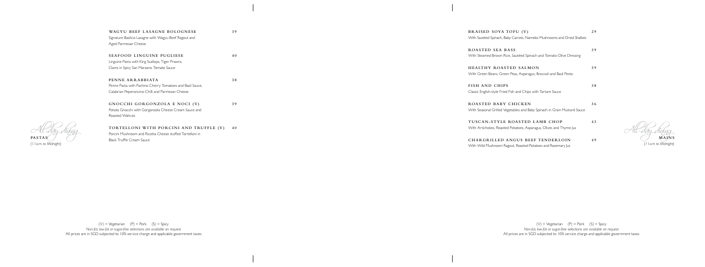

All-day dining **MAINS** *(11a.m to Midnight)*

 $(V)$  = Vegetarian  $(P)$  = Pork  $(S)$  = Spicy *Non-fat, low-fat or sugar-free selections are available on request* All prices are in SGD subjected to 10% service charge and applicable government taxes

**WAGYU BEEF LASAGNE BOLOGNESE 39** Signature Basilico Lasagne with Wagyu Beef Ragout and Aged Parmesan Cheese

**SEAFOOD LINGUINE PUGLIESE 40** Linguine Pasta with King Scallops, Tiger Prawns, Clams in Spicy San Marzano Tomato Sauce

**PENNE ARRABBIATA 38** Penne Pasta with Pachino Cherry Tomatoes and Basil Sauce, Calabrian Peperoncino Chilli and Parmesan Cheese

**GNOCCHI GORGONZOLA E NOCI (V) 39** Potato Gnocchi with Gorgonzola Cheese Cream Sauce and Roasted Walnuts

**TORTELLONI WITH PORCINI AND TRUFFLE (V) 40** Porcini Mushroom and Ricotta Cheese stuffed Tortelloni in Black Truffle Cream Sauce

 $(V)$  = Vegetarian  $(P)$  = Pork  $(S)$  = Spicy *Non-fat, low-fat or sugar-free selections are available on request* All prices are in SGD subjected to 10% service charge and applicable government taxes

| BRAISED SOYA TOFU (V)                                                    | 29 |
|--------------------------------------------------------------------------|----|
| With Sautéed Spinach, Baby Carrots, Nameko Mushrooms and Dried Shallots  |    |
| ROASTED SEA BASS                                                         | 39 |
| With Steamed Brown Rice, Sautéed Spinach and Tomato Olive Dressing       |    |
| HEALTHY ROASTED SALMON                                                   | 39 |
| With Green Beans, Green Peas, Asparagus, Broccoli and Basil Pesto        |    |
| FISH AND CHIPS                                                           | 38 |
| Classic English-style Fried Fish and Chips with Tartare Sauce            |    |
| ROASTED BABY CHICKEN                                                     | 36 |
| With Seasonal Grilled Vegetables and Baby Spinach in Grain Mustard Sauce |    |
| TUSCAN-STYLE ROASTED LAMB CHOP                                           | 43 |
| With Artichokes, Roasted Potatoes, Asparagus, Olives and Thyme Jus       |    |
| <b>CHARGRILLED ANGUS BEEF TENDERLOIN</b>                                 | 49 |
| With Wild Mushroom Ragout, Roasted Potatoes and Rosemary Jus             |    |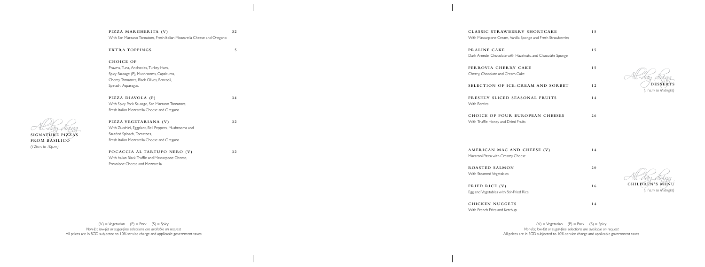**PIZZA MARGHERITA (V) 32** With San Marzano Tomatoes, Fresh Italian Mozzarella Cheese and Oregano

**EXTRA TOPPINGS**

**5**

## **CHOICE OF**

Prawns, Tuna, Anchovies, Turkey Ham, Spicy Sausage (P), Mushrooms, Capsicums, Cherry Tomatoes, Black Olives, Broccoli, Spinach, Asparagus.

**PIZZA DIAVOLA (P) 34** With Spicy Pork Sausage, San Marzano Tomatoes, Fresh Italian Mozzarella Cheese and Oregano

**PIZZA VEGETARIANA (V) 32**

With Zucchini, Eggplant, Bell Peppers, Mushrooms and Sautéed Spinach, Tomatoes, Fresh Italian Mozzarella Cheese and Oregano

**FOCACCIA AL TARTUFO NERO (V) 32** With Italian Black Truffle and Mascarpone Cheese, Provolone Cheese and Mozzarella

**CLASSIC STRAWBERRY SHORTCAKE 15**

 $\sqrt{\texttt{DESSERT}}$ *(11a.m. to Midnight)*

All-day dining **CHILDREN'S MENU**

 $(V)$  = Vegetarian  $(P)$  = Pork  $(S)$  = Spicy *Non-fat, low-fat or sugar-free selections are available on request* All prices are in SGD subjected to 10% service charge and applicable government taxes

| With Mascarpone Cream, Vanilla Sponge and Fresh Strawberries               |    |
|----------------------------------------------------------------------------|----|
| PRALINE CAKE<br>Dark Amedei Chocolate with Hazelnuts, and Chocolate Sponge | 15 |
| FERROVIA CHERRY CAKE<br>Cherry, Chocolate and Cream Cake                   | 15 |
| SELECTION OF ICE-CREAM AND SORBET                                          | 12 |
| FRESHLY SLICED SEASONAL FRUITS<br><b>With Berries</b>                      | 14 |
| CHOICE OF FOUR EUROPEAN CHEESES<br>With Truffle Honey and Dried Fruits     | 26 |
|                                                                            |    |
| AMERICAN MAC AND CHEESE (V)<br>Macaroni Pasta with Creamy Cheese           | 14 |
| ROASTED SALMON<br>With Steamed Vegetables                                  | 20 |
| FRIED RICE (V)<br>Egg and Vegetables with Stir-Fried Rice                  | 16 |
| <b>CHICKEN NUGGETS</b><br>With French Fries and Ketchup                    | 14 |

All-day dining **SIGNATURE PIZZAS FROM BASILICO** *(12p.m. to 10p.m.)*

*(11a.m. to Midnight)*

 $(V)$  = Vegetarian  $(P)$  = Pork  $(S)$  = Spicy *Non-fat, low-fat or sugar-free selections are available on request* All prices are in SGD subjected to 10% service charge and applicable government taxes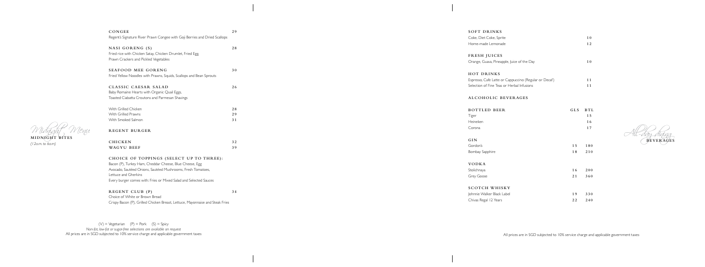Midnight Menu **MIDNIGHT BITES** 

*(12a.m. to 6a.m)*

| CONGEE<br>Regent's Signature River Prawn Congee with Goji Berries and Dried Scallops                                                                                                                                                                            | 29             |
|-----------------------------------------------------------------------------------------------------------------------------------------------------------------------------------------------------------------------------------------------------------------|----------------|
| NASI GORENG (S)<br>Fried rice with Chicken Satay, Chicken Drumlet, Fried Egg,<br>Prawn Crackers and Pickled Vegetables                                                                                                                                          | 28             |
| <b>SEAFOOD MEE GORENG</b><br>Fried Yellow Noodles with Prawns, Squids, Scallops and Bean Sprouts                                                                                                                                                                | 30             |
| CLASSIC CAESAR SALAD<br>Baby Romaine Hearts with Organic Quail Eggs,<br>Toasted Ciabatta Croutons and Parmesan Shavings                                                                                                                                         | 26             |
| With Grilled Chicken<br>With Grilled Prawns<br>With Smoked Salmon                                                                                                                                                                                               | 28<br>29<br>31 |
| <b>REGENT BURGER</b>                                                                                                                                                                                                                                            |                |
| <b>CHICKEN</b><br>WAGYU BEEF                                                                                                                                                                                                                                    | 32<br>39       |
| CHOICE OF TOPPINGS (SELECT UP TO THREE):<br>Bacon (P), Turkey Ham, Cheddar Cheese, Blue Cheese, Egg<br>Avocado, Sautéed Onions, Sautéed Mushrooms, Fresh Tomatoes,<br>Lettuce and Gherkins<br>Every burger comes with: Fries or Mixed Salad and Selected Sauces |                |

## **REGENT CLUB (P) 34**

 $(V)$  = Vegetarian  $(P)$  = Pork  $(S)$  = Spicy *Non-fat, low-fat or sugar-free selections are available on request* All prices are in SGD subjected to 10% service charge and applicable government taxes

Choice of White or Brown Bread Crispy Bacon (P), Grilled Chicken Breast, Lettuce, Mayonnaise and Steak Fries

### **SOFT DRINKS**

| Coke, Diet Coke, Sprite |  |
|-------------------------|--|
| Home-made Lemonade      |  |

# **FRESH JUICES**

| Orange, Guava, Pineapple, Juice of the Day |  |
|--------------------------------------------|--|
|--------------------------------------------|--|

### **HOT DRINKS**

| Espresso, Cafe Latte or Cappuccino (Regular or Decaf) |  |
|-------------------------------------------------------|--|
| Selection of Fine Teas or Herbal Infusions            |  |

## **ALCOHOLIC BEVERAGES**

| <b>BOTTLED BEER</b><br>Tiger<br>Heineken<br>Corona | GLS | BTL<br>15<br>16<br>17 |
|----------------------------------------------------|-----|-----------------------|
| GIN                                                |     |                       |
| Gordon's                                           | 15  | 180                   |
| Bombay Sapphire                                    | 18  | 210                   |
| <b>VODKA</b>                                       |     |                       |
| Stolichnaya                                        | 16  | 200                   |
| Grey Goose                                         | 21  | 360                   |
| <b>SCOTCH WHISKY</b>                               |     |                       |
| Johnnie Walker Black Label                         | 19  | 330                   |
| Chivas Regal 12 Years                              | 22  | 240                   |

BEVERAGES

All prices are in SGD subjected to 10% service charge and applicable government taxes